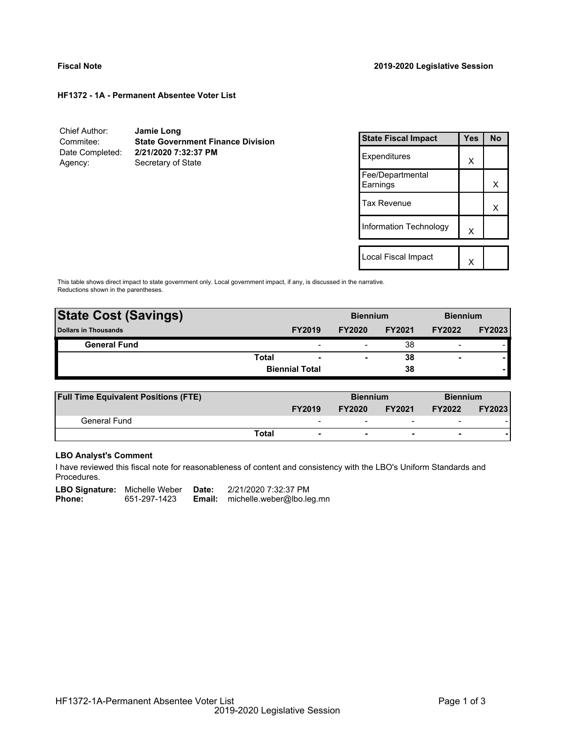#### **HF1372 - 1A - Permanent Absentee Voter List**

Chief Author: **Jamie Long** Commitee: **State Government Finance Division** Date Completed: **2/21/2020 7:32:37 PM** Agency: Secretary of State

| <b>State Fiscal Impact</b>   | <b>Yes</b> | N٥ |
|------------------------------|------------|----|
| Expenditures                 | X          |    |
| Fee/Departmental<br>Earnings |            | x  |
| Tax Revenue                  |            | х  |
| Information Technology       | X          |    |
|                              |            |    |
| Local Fiscal Impact          |            |    |

This table shows direct impact to state government only. Local government impact, if any, is discussed in the narrative. Reductions shown in the parentheses.

| <b>State Cost (Savings)</b> |       |                          | <b>Biennium</b>          |               | <b>Biennium</b> |               |
|-----------------------------|-------|--------------------------|--------------------------|---------------|-----------------|---------------|
| <b>Dollars in Thousands</b> |       | <b>FY2019</b>            | <b>FY2020</b>            | <b>FY2021</b> | <b>FY2022</b>   | <b>FY2023</b> |
| <b>General Fund</b>         |       | $\overline{\phantom{0}}$ |                          | 38            | -               |               |
|                             | Total | $\overline{\phantom{0}}$ | $\overline{\phantom{a}}$ | 38            | ۰               |               |
|                             |       | <b>Biennial Total</b>    |                          | 38            |                 |               |
|                             |       |                          |                          |               |                 |               |

| <b>Full Time Equivalent Positions (FTE)</b> |                                          |               | <b>Biennium</b>          |                          | <b>Biennium</b> |  |
|---------------------------------------------|------------------------------------------|---------------|--------------------------|--------------------------|-----------------|--|
|                                             | <b>FY2019</b>                            | <b>FY2020</b> | <b>FY2021</b>            | <b>FY2022</b>            | <b>FY2023</b>   |  |
| General Fund                                | $\overline{\phantom{a}}$                 | -             | $\overline{\phantom{0}}$ | $\overline{\phantom{0}}$ |                 |  |
|                                             | <b>Total</b><br>$\overline{\phantom{a}}$ |               | $\overline{\phantom{0}}$ | $\blacksquare$           |                 |  |

# **LBO Analyst's Comment**

I have reviewed this fiscal note for reasonableness of content and consistency with the LBO's Uniform Standards and Procedures.

LBO Signature: Michelle Weber Date: 2/21/2020 7:32:37 PM<br>Phone: 651-297-1423 **Email:** michelle.weber@lbo.le **Email:** michelle.weber@lbo.leg.mn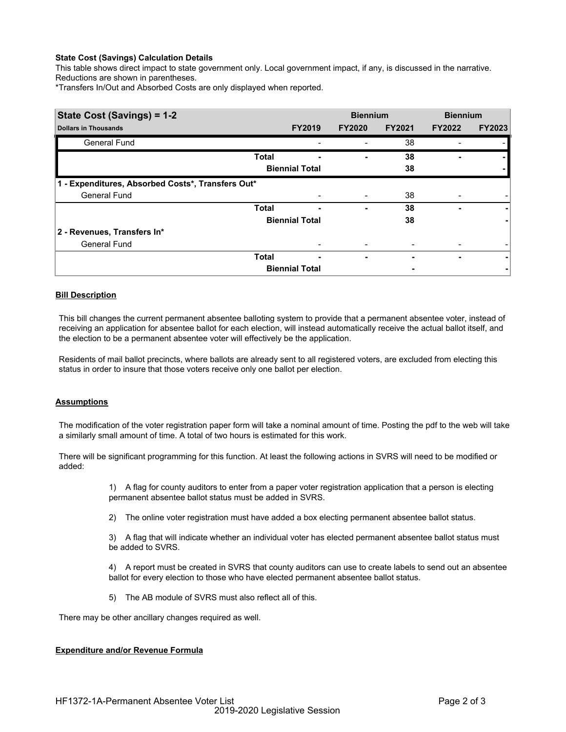# **State Cost (Savings) Calculation Details**

This table shows direct impact to state government only. Local government impact, if any, is discussed in the narrative. Reductions are shown in parentheses.

\*Transfers In/Out and Absorbed Costs are only displayed when reported.

| State Cost (Savings) = 1-2                        |              |                          | <b>Biennium</b> |               | <b>Biennium</b> |               |
|---------------------------------------------------|--------------|--------------------------|-----------------|---------------|-----------------|---------------|
| <b>Dollars in Thousands</b>                       |              | <b>FY2019</b>            | <b>FY2020</b>   | <b>FY2021</b> | <b>FY2022</b>   | <b>FY2023</b> |
| <b>General Fund</b>                               |              |                          |                 | 38            |                 |               |
|                                                   | <b>Total</b> | ٠                        |                 | 38            |                 |               |
|                                                   |              | <b>Biennial Total</b>    |                 | 38            |                 |               |
| 1 - Expenditures, Absorbed Costs*, Transfers Out* |              |                          |                 |               |                 |               |
| <b>General Fund</b>                               |              |                          |                 | 38            |                 |               |
|                                                   | <b>Total</b> | ۰                        | $\blacksquare$  | 38            |                 |               |
|                                                   |              | <b>Biennial Total</b>    |                 | 38            |                 |               |
| 2 - Revenues, Transfers In*                       |              |                          |                 |               |                 |               |
| <b>General Fund</b>                               |              | $\overline{\phantom{0}}$ |                 |               |                 |               |
|                                                   | <b>Total</b> | $\overline{\phantom{0}}$ | ۰               |               | ۰               |               |
|                                                   |              | <b>Biennial Total</b>    |                 |               |                 |               |

# **Bill Description**

This bill changes the current permanent absentee balloting system to provide that a permanent absentee voter, instead of receiving an application for absentee ballot for each election, will instead automatically receive the actual ballot itself, and the election to be a permanent absentee voter will effectively be the application.

Residents of mail ballot precincts, where ballots are already sent to all registered voters, are excluded from electing this status in order to insure that those voters receive only one ballot per election.

### **Assumptions**

The modification of the voter registration paper form will take a nominal amount of time. Posting the pdf to the web will take a similarly small amount of time. A total of two hours is estimated for this work.

There will be significant programming for this function. At least the following actions in SVRS will need to be modified or added:

> 1) A flag for county auditors to enter from a paper voter registration application that a person is electing permanent absentee ballot status must be added in SVRS.

2) The online voter registration must have added a box electing permanent absentee ballot status.

3) A flag that will indicate whether an individual voter has elected permanent absentee ballot status must be added to SVRS.

4) A report must be created in SVRS that county auditors can use to create labels to send out an absentee ballot for every election to those who have elected permanent absentee ballot status.

5) The AB module of SVRS must also reflect all of this.

There may be other ancillary changes required as well.

# **Expenditure and/or Revenue Formula**